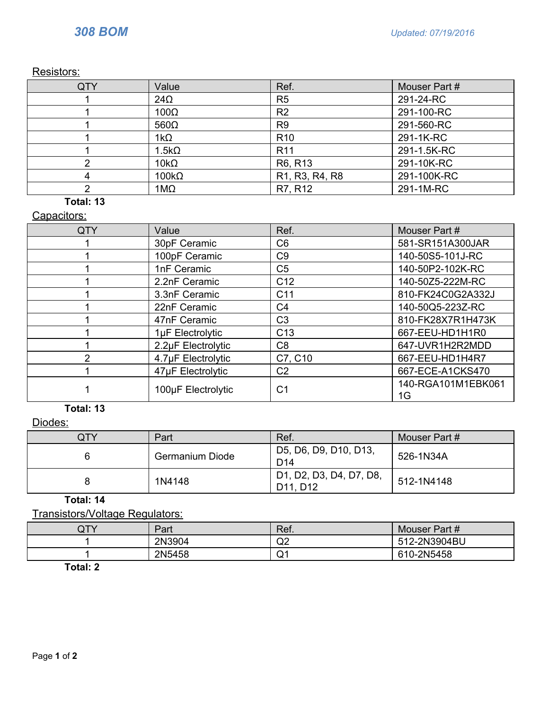Resistors:

| QTY | Value        | Ref.                                                              | Mouser Part # |
|-----|--------------|-------------------------------------------------------------------|---------------|
|     | $24\Omega$   | R <sub>5</sub>                                                    | 291-24-RC     |
|     | $100\Omega$  | R <sub>2</sub>                                                    | 291-100-RC    |
|     | $560\Omega$  | R <sub>9</sub>                                                    | 291-560-RC    |
|     | $1k\Omega$   | R <sub>10</sub>                                                   | 291-1K-RC     |
|     | $1.5k\Omega$ | R <sub>11</sub>                                                   | 291-1.5K-RC   |
|     | $10k\Omega$  | R6, R13                                                           | 291-10K-RC    |
|     | $100k\Omega$ | R <sub>1</sub> , R <sub>3</sub> , R <sub>4</sub> , R <sub>8</sub> | 291-100K-RC   |
|     | $1M\Omega$   | R7, R12                                                           | 291-1M-RC     |

## **Total: 13**

## Capacitors:

| QTY | Value              | Ref.            | Mouser Part #            |
|-----|--------------------|-----------------|--------------------------|
|     | 30pF Ceramic       | C <sub>6</sub>  | 581-SR151A300JAR         |
|     | 100pF Ceramic      | C9              | 140-50S5-101J-RC         |
|     | 1nF Ceramic        | C <sub>5</sub>  | 140-50P2-102K-RC         |
|     | 2.2nF Ceramic      | C <sub>12</sub> | 140-50Z5-222M-RC         |
|     | 3.3nF Ceramic      | C <sub>11</sub> | 810-FK24C0G2A332J        |
|     | 22nF Ceramic       | C <sub>4</sub>  | 140-50Q5-223Z-RC         |
|     | 47nF Ceramic       | C <sub>3</sub>  | 810-FK28X7R1H473K        |
|     | 1µF Electrolytic   | C <sub>13</sub> | 667-EEU-HD1H1R0          |
|     | 2.2µF Electrolytic | C <sub>8</sub>  | 647-UVR1H2R2MDD          |
|     | 4.7µF Electrolytic | C7, C10         | 667-EEU-HD1H4R7          |
|     | 47µF Electrolytic  | C <sub>2</sub>  | 667-ECE-A1CKS470         |
|     | 100µF Electrolytic | C <sub>1</sub>  | 140-RGA101M1EBK061<br>1G |

#### **Total: 13**

Diodes:

| QTY | Part            | Ref.                                     | Mouser Part # |
|-----|-----------------|------------------------------------------|---------------|
|     | Germanium Diode | D5, D6, D9, D10, D13,<br>D <sub>14</sub> | 526-1N34A     |
|     | 1N4148          | D1, D2, D3, D4, D7, D8,<br>D11, D12      | 512-1N4148    |

**Total: 14**

Transistors/Voltage Regulators:

| QTY | Part   | Ref.     | Mouser Part # |
|-----|--------|----------|---------------|
|     | 2N3904 | r<br>◡   | 512-2N3904BU  |
|     | 2N5458 | ົົ່<br>◡ | 610-2N5458    |

**Total: 2**